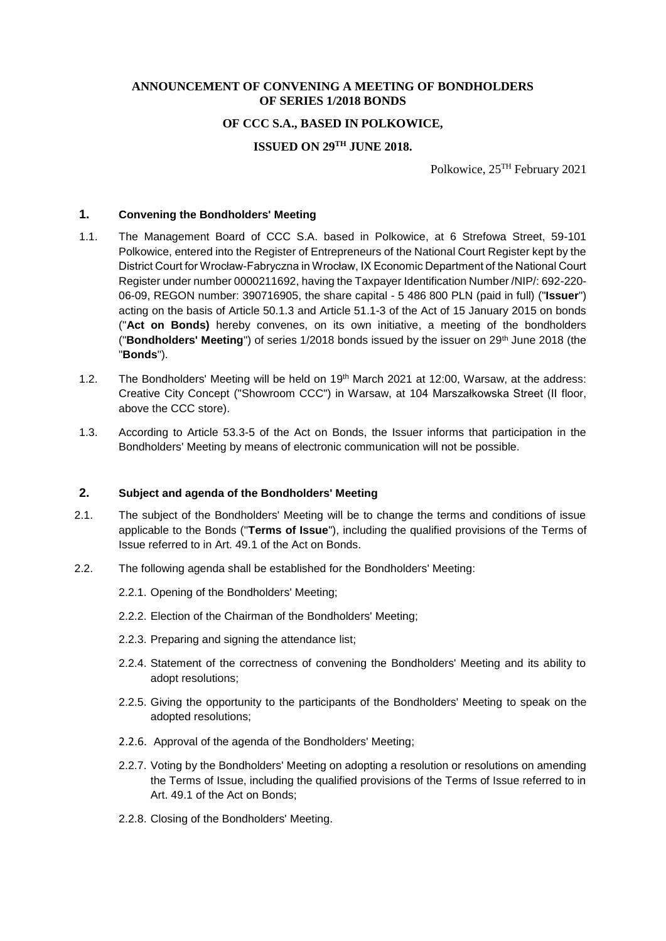#### **ANNOUNCEMENT OF CONVENING A MEETING OF BONDHOLDERS OF SERIES 1/2018 BONDS**

#### **OF CCC S.A., BASED IN POLKOWICE,**

# **ISSUED ON 29TH JUNE 2018.**

Polkowice, 25TH February 2021

## **1. Convening the Bondholders' Meeting**

- 1.1. The Management Board of CCC S.A. based in Polkowice, at 6 Strefowa Street, 59-101 Polkowice, entered into the Register of Entrepreneurs of the National Court Register kept by the District Court for Wrocław-Fabryczna in Wrocław, IX Economic Department of the National Court Register under number 0000211692, having the Taxpayer Identification Number /NIP/: 692-220- 06-09, REGON number: 390716905, the share capital - 5 486 800 PLN (paid in full) ("**Issuer**") acting on the basis of Article 50.1.3 and Article 51.1-3 of the Act of 15 January 2015 on bonds ("**Act on Bonds)** hereby convenes, on its own initiative, a meeting of the bondholders ("**Bondholders' Meeting**") of series 1/2018 bonds issued by the issuer on 29<sup>th</sup> June 2018 (the "**Bonds**").
- 1.2. The Bondholders' Meeting will be held on 19th March 2021 at 12:00, Warsaw, at the address: Creative City Concept ("Showroom CCC") in Warsaw, at 104 Marszałkowska Street (II floor, above the CCC store).
- 1.3. According to Article 53.3-5 of the Act on Bonds, the Issuer informs that participation in the Bondholders' Meeting by means of electronic communication will not be possible.

#### **2. Subject and agenda of the Bondholders' Meeting**

- 2.1. The subject of the Bondholders' Meeting will be to change the terms and conditions of issue applicable to the Bonds ("**Terms of Issue**"), including the qualified provisions of the Terms of Issue referred to in Art. 49.1 of the Act on Bonds.
- 2.2. The following agenda shall be established for the Bondholders' Meeting:
	- 2.2.1. Opening of the Bondholders' Meeting;
	- 2.2.2. Election of the Chairman of the Bondholders' Meeting;
	- 2.2.3. Preparing and signing the attendance list;
	- 2.2.4. Statement of the correctness of convening the Bondholders' Meeting and its ability to adopt resolutions;
	- 2.2.5. Giving the opportunity to the participants of the Bondholders' Meeting to speak on the adopted resolutions;
	- 2.2.6. Approval of the agenda of the Bondholders' Meeting;
	- 2.2.7. Voting by the Bondholders' Meeting on adopting a resolution or resolutions on amending the Terms of Issue, including the qualified provisions of the Terms of Issue referred to in Art. 49.1 of the Act on Bonds;
	- 2.2.8. Closing of the Bondholders' Meeting.